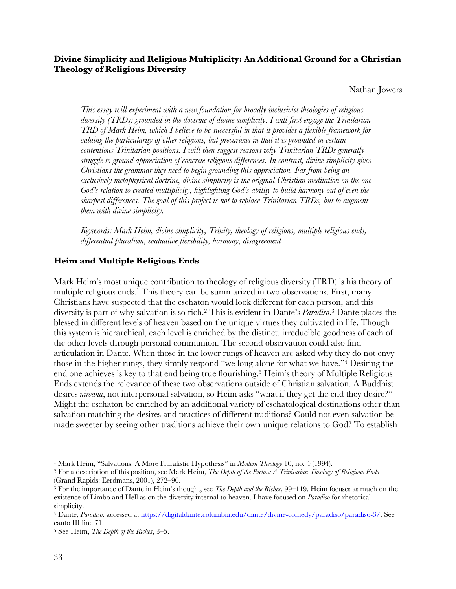## **Divine Simplicity and Religious Multiplicity: An Additional Ground for a Christian Theology of Religious Diversity**

Nathan Jowers

*This essay will experiment with a new foundation for broadly inclusivist theologies of religious diversity (TRDs) grounded in the doctrine of divine simplicity. I will first engage the Trinitarian TRD of Mark Heim, which I believe to be successful in that it provides a flexible framework for valuing the particularity of other religions, but precarious in that it is grounded in certain contentious Trinitarian positions. I will then suggest reasons why Trinitarian TRDs generally struggle to ground appreciation of concrete religious differences. In contrast, divine simplicity gives Christians the grammar they need to begin grounding this appreciation. Far from being an exclusively metaphysical doctrine, divine simplicity is the original Christian meditation on the one God's relation to created multiplicity, highlighting God's ability to build harmony out of even the sharpest differences. The goal of this project is not to replace Trinitarian TRDs, but to augment them with divine simplicity.*

*Keywords: Mark Heim, divine simplicity, Trinity, theology of religions, multiple religious ends, differential pluralism, evaluative flexibility, harmony, disagreement*

### **Heim and Multiple Religious Ends**

Mark Heim's most unique contribution to theology of religious diversity (TRD) is his theory of multiple religious ends.<sup>1</sup> This theory can be summarized in two observations. First, many Christians have suspected that the eschaton would look different for each person, and this diversity is part of why salvation is so rich.2 This is evident in Dante's *Paradiso*. <sup>3</sup> Dante places the blessed in different levels of heaven based on the unique virtues they cultivated in life. Though this system is hierarchical, each level is enriched by the distinct, irreducible goodness of each of the other levels through personal communion. The second observation could also find articulation in Dante. When those in the lower rungs of heaven are asked why they do not envy those in the higher rungs, they simply respond "we long alone for what we have."4 Desiring the end one achieves is key to that end being true flourishing.<sup>5</sup> Heim's theory of Multiple Religious Ends extends the relevance of these two observations outside of Christian salvation. A Buddhist desires *nirvana*, not interpersonal salvation, so Heim asks "what if they get the end they desire?" Might the eschaton be enriched by an additional variety of eschatological destinations other than salvation matching the desires and practices of different traditions? Could not even salvation be made sweeter by seeing other traditions achieve their own unique relations to God? To establish

<sup>1</sup> Mark Heim, "Salvations: A More Pluralistic Hypothesis" in *Modern Theology* 10, no. 4 (1994).

<sup>2</sup> For a description of this position, see Mark Heim, *The Depth of the Riches: A Trinitarian Theology of Religious Ends* (Grand Rapids: Eerdmans, 2001), 272–90.

<sup>3</sup> For the importance of Dante in Heim's thought, see *The Depth and the Riches*, 99–119. Heim focuses as much on the existence of Limbo and Hell as on the diversity internal to heaven. I have focused on *Paradiso* for rhetorical simplicity.

<sup>4</sup> Dante, *Paradiso*, accessed at https://digitaldante.columbia.edu/dante/divine-comedy/paradiso/paradiso-3/. See canto III line 71.

<sup>5</sup> See Heim, *The Depth of the Riches*, 3–5.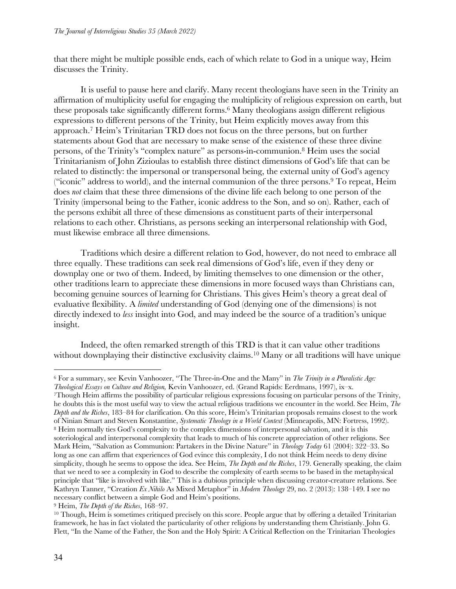that there might be multiple possible ends, each of which relate to God in a unique way, Heim discusses the Trinity.

It is useful to pause here and clarify. Many recent theologians have seen in the Trinity an affirmation of multiplicity useful for engaging the multiplicity of religious expression on earth, but these proposals take significantly different forms.6 Many theologians assign different religious expressions to different persons of the Trinity, but Heim explicitly moves away from this approach.7 Heim's Trinitarian TRD does not focus on the three persons, but on further statements about God that are necessary to make sense of the existence of these three divine persons, of the Trinity's "complex nature" as persons-in-communion.8 Heim uses the social Trinitarianism of John Zizioulas to establish three distinct dimensions of God's life that can be related to distinctly: the impersonal or transpersonal being, the external unity of God's agency ("iconic" address to world), and the internal communion of the three persons. $9$  To repeat, Heim does *not* claim that these three dimensions of the divine life each belong to one person of the Trinity (impersonal being to the Father, iconic address to the Son, and so on). Rather, each of the persons exhibit all three of these dimensions as constituent parts of their interpersonal relations to each other. Christians, as persons seeking an interpersonal relationship with God, must likewise embrace all three dimensions.

Traditions which desire a different relation to God, however, do not need to embrace all three equally. These traditions can seek real dimensions of God's life, even if they deny or downplay one or two of them. Indeed, by limiting themselves to one dimension or the other, other traditions learn to appreciate these dimensions in more focused ways than Christians can, becoming genuine sources of learning for Christians. This gives Heim's theory a great deal of evaluative flexibility. A *limited* understanding of God (denying one of the dimensions) is not directly indexed to *less* insight into God, and may indeed be the source of a tradition's unique insight.

Indeed, the often remarked strength of this TRD is that it can value other traditions without downplaying their distinctive exclusivity claims.<sup>10</sup> Many or all traditions will have unique

7Though Heim affirms the possibility of particular religious expressions focusing on particular persons of the Trinity, he doubts this is the most useful way to view the actual religious traditions we encounter in the world. See Heim, *The Depth and the Riches*, 183–84 for clarification. On this score, Heim's Trinitarian proposals remains closest to the work of Ninian Smart and Steven Konstantine, *Systematic Theology in a World Context* (Minneapolis, MN: Fortress, 1992). <sup>8</sup> Heim normally ties God's complexity to the complex dimensions of interpersonal salvation, and it is this soteriological and interpersonal complexity that leads to much of his concrete appreciation of other religions. See Mark Heim, "Salvation as Communion: Partakers in the Divine Nature" in *Theology Today* 61 (2004): 322–33. So long as one can affirm that experiences of God evince this complexity, I do not think Heim needs to deny divine simplicity, though he seems to oppose the idea. See Heim, *The Depth and the Riches*, 179. Generally speaking, the claim that we need to see a complexity in God to describe the complexity of earth seems to be based in the metaphysical principle that "like is involved with like." This is a dubious principle when discussing creator-creature relations. See Kathryn Tanner, "Creation *Ex Nihilo* As Mixed Metaphor" in *Modern Theology* 29, no. 2 (2013): 138–149. I see no necessary conflict between a simple God and Heim's positions.

<sup>6</sup> For a summary, see Kevin Vanhoozer, "The Three-in-One and the Many" in *The Trinity in a Pluralistic Age: Theological Essays on Culture and Religion,* Kevin Vanhoozer, ed. (Grand Rapids: Eerdmans, 1997), ix–x.

<sup>&</sup>lt;sup>9</sup> Heim, *The Depth of the Riches*, 168–97.<br><sup>10</sup> Though, Heim is sometimes critiqued precisely on this score. People argue that by offering a detailed Trinitarian framework, he has in fact violated the particularity of other religions by understanding them Christianly. John G. Flett, "In the Name of the Father, the Son and the Holy Spirit: A Critical Reflection on the Trinitarian Theologies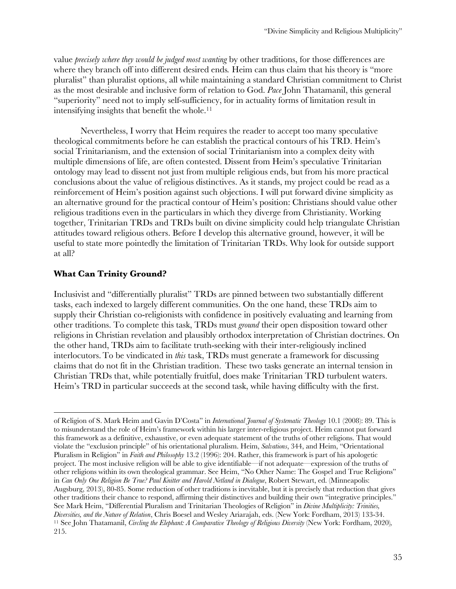value *precisely where they would be judged most wanting* by other traditions, for those differences are where they branch off into different desired ends*.* Heim can thus claim that his theory is "more pluralist" than pluralist options, all while maintaining a standard Christian commitment to Christ as the most desirable and inclusive form of relation to God. *Pace* John Thatamanil, this general "superiority" need not to imply self-sufficiency, for in actuality forms of limitation result in intensifying insights that benefit the whole.<sup>11</sup>

Nevertheless, I worry that Heim requires the reader to accept too many speculative theological commitments before he can establish the practical contours of his TRD. Heim's social Trinitarianism, and the extension of social Trinitarianism into a complex deity with multiple dimensions of life, are often contested. Dissent from Heim's speculative Trinitarian ontology may lead to dissent not just from multiple religious ends, but from his more practical conclusions about the value of religious distinctives. As it stands, my project could be read as a reinforcement of Heim's position against such objections. I will put forward divine simplicity as an alternative ground for the practical contour of Heim's position: Christians should value other religious traditions even in the particulars in which they diverge from Christianity. Working together, Trinitarian TRDs and TRDs built on divine simplicity could help triangulate Christian attitudes toward religious others. Before I develop this alternative ground, however, it will be useful to state more pointedly the limitation of Trinitarian TRDs. Why look for outside support at all?

# **What Can Trinity Ground?**

Inclusivist and "differentially pluralist" TRDs are pinned between two substantially different tasks, each indexed to largely different communities. On the one hand, these TRDs aim to supply their Christian co-religionists with confidence in positively evaluating and learning from other traditions. To complete this task, TRDs must *ground* their open disposition toward other religions in Christian revelation and plausibly orthodox interpretation of Christian doctrines. On the other hand, TRDs aim to facilitate truth-seeking with their inter-religiously inclined interlocutors.To be vindicated in *this* task, TRDs must generate a framework for discussing claims that do not fit in the Christian tradition. These two tasks generate an internal tension in Christian TRDs that, while potentially fruitful, does make Trinitarian TRD turbulent waters. Heim's TRD in particular succeeds at the second task, while having difficulty with the first.

of Religion of S. Mark Heim and Gavin D'Costa" in *International Journal of Systematic Theology* 10.1 (2008): 89. This is to misunderstand the role of Heim's framework within his larger inter-religious project. Heim cannot put forward this framework as a definitive, exhaustive, or even adequate statement of the truths of other religions. That would violate the "exclusion principle" of his orientational pluralism. Heim, *Salvations*, 344, and Heim, "Orientational Pluralism in Religion" in *Faith and Philosophy* 13.2 (1996): 204. Rather, this framework is part of his apologetic project. The most inclusive religion will be able to give identifiable—if not adequate—expression of the truths of other religions within its own theological grammar. See Heim, "No Other Name: The Gospel and True Religions" in *Can Only One Religion Be True? Paul Knitter and Harold Netland in Dialogue*, Robert Stewart, ed. (Minneapolis: Augsburg, 2013), 80-85. Some reduction of other traditions is inevitable, but it is precisely that reduction that gives other traditions their chance to respond, affirming their distinctives and building their own "integrative principles." See Mark Heim, "Differential Pluralism and Trinitarian Theologies of Religion" in *Divine Multiplicity: Trinities, Diversities, and the Nature of Relation*, Chris Boesel and Wesley Ariarajah, eds. (New York: Fordham, 2013) 133-34. <sup>11</sup> See John Thatamanil, *Circling the Elephant: A Comparative Theology of Religious Diversity* (New York: Fordham, 2020)*,*  215.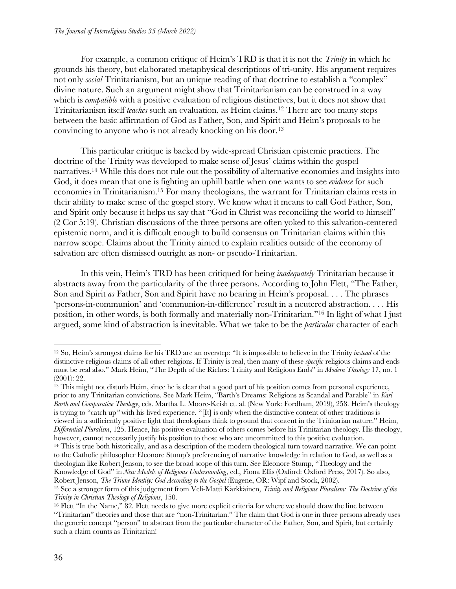For example, a common critique of Heim's TRD is that it is not the *Trinity* in which he grounds his theory, but elaborated metaphysical descriptions of tri-unity. His argument requires not only *social* Trinitarianism, but an unique reading of that doctrine to establish a "complex" divine nature. Such an argument might show that Trinitarianism can be construed in a way which is *compatible* with a positive evaluation of religious distinctives, but it does not show that Trinitarianism itself *teaches* such an evaluation, as Heim claims.12 There are too many steps between the basic affirmation of God as Father, Son, and Spirit and Heim's proposals to be convincing to anyone who is not already knocking on his door.13

This particular critique is backed by wide-spread Christian epistemic practices. The doctrine of the Trinity was developed to make sense of Jesus' claims within the gospel narratives.14 While this does not rule out the possibility of alternative economies and insights into God, it does mean that one is fighting an uphill battle when one wants to see *evidence* for such economies in Trinitarianism.15 For many theologians, the warrant for Trinitarian claims rests in their ability to make sense of the gospel story. We know what it means to call God Father, Son, and Spirit only because it helps us say that "God in Christ was reconciling the world to himself" (2 Cor 5:19). Christian discussions of the three persons are often yoked to this salvation-centered epistemic norm, and it is difficult enough to build consensus on Trinitarian claims within this narrow scope. Claims about the Trinity aimed to explain realities outside of the economy of salvation are often dismissed outright as non- or pseudo-Trinitarian.

In this vein, Heim's TRD has been critiqued for being *inadequately* Trinitarian because it abstracts away from the particularity of the three persons. According to John Flett, "The Father, Son and Spirit *as* Father, Son and Spirit have no bearing in Heim's proposal. . . . The phrases 'persons-in-communion' and 'communion-in-difference' result in a neutered abstraction. . . . His position, in other words, is both formally and materially non-Trinitarian."16 In light of what I just argued, some kind of abstraction is inevitable. What we take to be the *particular* character of each

<sup>12</sup> So, Heim's strongest claims for his TRD are an overstep: "It is impossible to believe in the Trinity *instead* of the distinctive religious claims of all other religions. If Trinity is real, then many of these *specific* religious claims and ends must be real also." Mark Heim, "The Depth of the Riches: Trinity and Religious Ends" in *Modern Theology* 17, no. 1 (2001): 22.

<sup>&</sup>lt;sup>13</sup> This might not disturb Heim, since he is clear that a good part of his position comes from personal experience, prior to any Trinitarian convictions. See Mark Heim, "Barth's Dreams: Religions as Scandal and Parable" in *Karl Barth and Comparative Theology*, eds. Martha L. Moore-Keish et. al. (New York: Fordham, 2019), 258. Heim's theology is trying to "catch up*"* with his lived experience. "[It] is only when the distinctive content of other traditions is viewed in a sufficiently positive light that theologians think to ground that content in the Trinitarian nature." Heim, *Differential Pluralism*, 125. Hence, his positive evaluation of others comes before his Trinitarian theology. His theology, however, cannot necessarily justify his position to those who are uncommitted to this positive evaluation.

<sup>&</sup>lt;sup>14</sup> This is true both historically, and as a description of the modern theological turn toward narrative. We can point to the Catholic philosopher Eleonore Stump's preferencing of narrative knowledge in relation to God, as well as a theologian like Robert Jenson, to see the broad scope of this turn. See Eleonore Stump, "Theology and the Knowledge of God" in *New Models of Religious Understanding*, ed., Fiona Ellis (Oxford: Oxford Press, 2017). So also,

Robert Jenson, The Triune Identity: God According to the Gospel (Eugene, OR: Wipf and Stock, 2002).<br><sup>15</sup> See a stronger form of this judgement from Veli-Matti Kärkkäinen, Trinity and Religious Pluralism: The Doctrine of th *Trinity in Christian Theology of Religions*, 150.

<sup>&</sup>lt;sup>16</sup> Flett "In the Name," 82. Flett needs to give more explicit criteria for where we should draw the line between "Trinitarian" theories and those that are "non-Trinitarian." The claim that God is one in three persons already uses the generic concept "person" to abstract from the particular character of the Father, Son, and Spirit, but certainly such a claim counts as Trinitarian!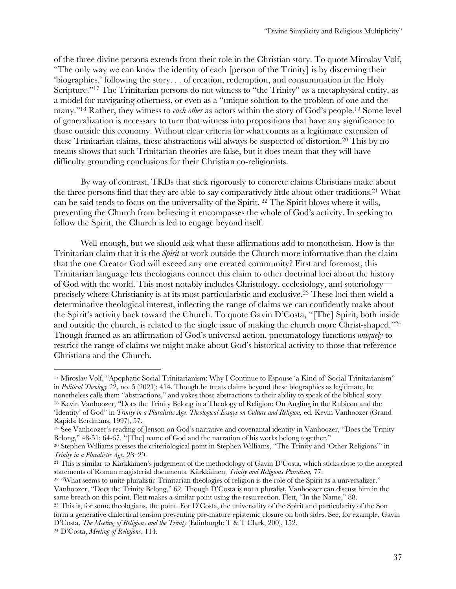of the three divine persons extends from their role in the Christian story. To quote Miroslav Volf, "The only way we can know the identity of each [person of the Trinity] is by discerning their 'biographies,' following the story. . . of creation, redemption, and consummation in the Holy Scripture."<sup>17</sup> The Trinitarian persons do not witness to "the Trinity" as a metaphysical entity, as a model for navigating otherness, or even as a "unique solution to the problem of one and the many."18 Rather, they witness to *each other* as actors within the story of God's people.19 Some level of generalization is necessary to turn that witness into propositions that have any significance to those outside this economy. Without clear criteria for what counts as a legitimate extension of these Trinitarian claims, these abstractions will always be suspected of distortion.20 This by no means shows that such Trinitarian theories are false, but it does mean that they will have difficulty grounding conclusions for their Christian co-religionists.

By way of contrast, TRDs that stick rigorously to concrete claims Christians make about the three persons find that they are able to say comparatively little about other traditions.21 What can be said tends to focus on the universality of the Spirit. <sup>22</sup> The Spirit blows where it wills, preventing the Church from believing it encompasses the whole of God's activity. In seeking to follow the Spirit, the Church is led to engage beyond itself.

Well enough, but we should ask what these affirmations add to monotheism. How is the Trinitarian claim that it is the *Spirit* at work outside the Church more informative than the claim that the one Creator God will exceed any one created community? First and foremost, this Trinitarian language lets theologians connect this claim to other doctrinal loci about the history of God with the world. This most notably includes Christology, ecclesiology, and soteriology precisely where Christianity is at its most particularistic and exclusive.23 These loci then wield a determinative theological interest, inflecting the range of claims we can confidently make about the Spirit's activity back toward the Church. To quote Gavin D'Costa, "[The] Spirit, both inside and outside the church, is related to the single issue of making the church more Christ-shaped."24 Though framed as an affirmation of God's universal action, pneumatology functions *uniquely* to restrict the range of claims we might make about God's historical activity to those that reference Christians and the Church.

<sup>17</sup> Miroslav Volf, "Apophatic Social Trinitarianism: Why I Continue to Espouse 'a Kind of' Social Trinitarianism" in *Political Theology* 22, no. 5 (2021): 414. Though he treats claims beyond these biographies as legitimate, he nonetheless calls them "abstractions," and yokes those abstractions to their ability to speak of the biblical story. <sup>18</sup> Kevin Vanhoozer, "Does the Trinity Belong in a Theology of Religion: On Angling in the Rubicon and the

<sup>&#</sup>x27;Identity' of God" in *Trinity in a Pluralistic Age: Theological Essays on Culture and Religion*, ed. Kevin Vanhoozer (Grand Rapids: Eerdmans, 1997), 57.

<sup>19</sup> See Vanhoozer's reading of Jenson on God's narrative and covenantal identity in Vanhoozer, "Does the Trinity Belong," 48-51; 64-67. "[The] name of God and the narration of his works belong together."

<sup>20</sup> Stephen Williams presses the criteriological point in Stephen Williams, "The Trinity and 'Other Religions'" in *Trinity in a Pluralistic Age*, 28–29.

<sup>21</sup> This is similar to Kärkkäinen's judgement of the methodology of Gavin D'Costa, which sticks close to the accepted statements of Roman magisterial documents. Kärkkäinen, *Trinity and Religious Pluralism,* 77.

<sup>&</sup>lt;sup>22</sup> "What seems to unite pluralistic Trinitarian theologies of religion is the role of the Spirit as a universalizer." Vanhoozer, "Does the Trinity Belong," 62. Though D'Costa is not a pluralist, Vanhoozer can discuss him in the same breath on this point. Flett makes a similar point using the resurrection. Flett, "In the Name," 88.

<sup>&</sup>lt;sup>23</sup> This is, for some theologians, the point. For D'Costa, the universality of the Spirit and particularity of the Son form a generative dialectical tension preventing pre-mature epistemic closure on both sides. See, for example, Gavin D'Costa, *The Meeting of Religions and the Trinity* (Edinburgh: T & T Clark, 200), 152.

<sup>24</sup> D'Costa, *Meeting of Religions*, 114.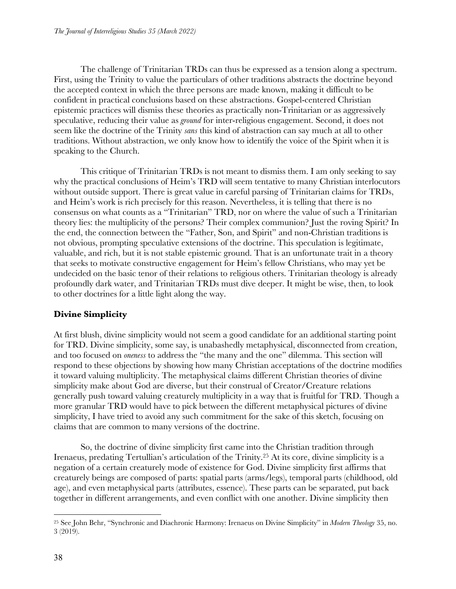The challenge of Trinitarian TRDs can thus be expressed as a tension along a spectrum. First, using the Trinity to value the particulars of other traditions abstracts the doctrine beyond the accepted context in which the three persons are made known, making it difficult to be confident in practical conclusions based on these abstractions. Gospel-centered Christian epistemic practices will dismiss these theories as practically non-Trinitarian or as aggressively speculative, reducing their value as *ground* for inter-religious engagement. Second, it does not seem like the doctrine of the Trinity *sans* this kind of abstraction can say much at all to other traditions. Without abstraction, we only know how to identify the voice of the Spirit when it is speaking to the Church.

This critique of Trinitarian TRDs is not meant to dismiss them. I am only seeking to say why the practical conclusions of Heim's TRD will seem tentative to many Christian interlocutors without outside support. There is great value in careful parsing of Trinitarian claims for TRDs, and Heim's work is rich precisely for this reason. Nevertheless, it is telling that there is no consensus on what counts as a "Trinitarian" TRD, nor on where the value of such a Trinitarian theory lies: the multiplicity of the persons? Their complex communion? Just the roving Spirit? In the end, the connection between the "Father, Son, and Spirit" and non-Christian traditions is not obvious, prompting speculative extensions of the doctrine. This speculation is legitimate, valuable, and rich, but it is not stable epistemic ground. That is an unfortunate trait in a theory that seeks to motivate constructive engagement for Heim's fellow Christians, who may yet be undecided on the basic tenor of their relations to religious others. Trinitarian theology is already profoundly dark water, and Trinitarian TRDs must dive deeper. It might be wise, then, to look to other doctrines for a little light along the way.

# **Divine Simplicity**

At first blush, divine simplicity would not seem a good candidate for an additional starting point for TRD. Divine simplicity, some say, is unabashedly metaphysical, disconnected from creation, and too focused on *oneness* to address the "the many and the one" dilemma. This section will respond to these objections by showing how many Christian acceptations of the doctrine modifies it toward valuing multiplicity. The metaphysical claims different Christian theories of divine simplicity make about God are diverse, but their construal of Creator/Creature relations generally push toward valuing creaturely multiplicity in a way that is fruitful for TRD. Though a more granular TRD would have to pick between the different metaphysical pictures of divine simplicity, I have tried to avoid any such commitment for the sake of this sketch, focusing on claims that are common to many versions of the doctrine.

So, the doctrine of divine simplicity first came into the Christian tradition through Irenaeus, predating Tertullian's articulation of the Trinity.25 At its core, divine simplicity is a negation of a certain creaturely mode of existence for God. Divine simplicity first affirms that creaturely beings are composed of parts: spatial parts (arms/legs), temporal parts (childhood, old age), and even metaphysical parts (attributes, essence). These parts can be separated, put back together in different arrangements, and even conflict with one another. Divine simplicity then

<sup>25</sup> See John Behr, "Synchronic and Diachronic Harmony: Irenaeus on Divine Simplicity" in *Modern Theology* 35, no. 3 (2019).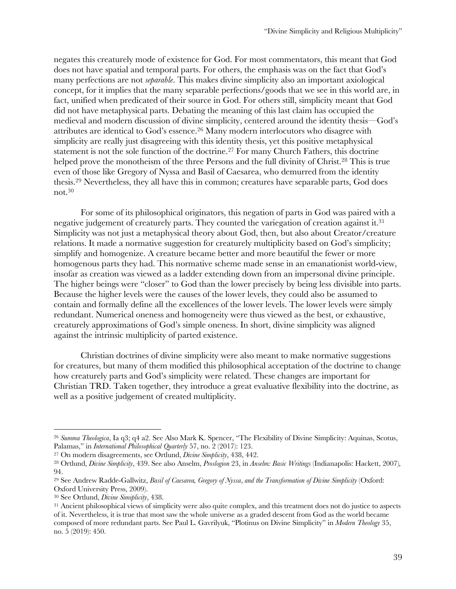negates this creaturely mode of existence for God. For most commentators, this meant that God does not have spatial and temporal parts. For others, the emphasis was on the fact that God's many perfections are not *separable*. This makes divine simplicity also an important axiological concept, for it implies that the many separable perfections/goods that we see in this world are, in fact, unified when predicated of their source in God. For others still, simplicity meant that God did not have metaphysical parts. Debating the meaning of this last claim has occupied the medieval and modern discussion of divine simplicity, centered around the identity thesis—God's attributes are identical to God's essence.26 Many modern interlocutors who disagree with simplicity are really just disagreeing with this identity thesis, yet this positive metaphysical statement is not the sole function of the doctrine.<sup>27</sup> For many Church Fathers, this doctrine helped prove the monotheism of the three Persons and the full divinity of Christ.<sup>28</sup> This is true even of those like Gregory of Nyssa and Basil of Caesarea, who demurred from the identity thesis.29 Nevertheless, they all have this in common; creatures have separable parts, God does not.30

For some of its philosophical originators, this negation of parts in God was paired with a negative judgement of creaturely parts. They counted the variegation of creation against it.<sup>31</sup> Simplicity was not just a metaphysical theory about God, then, but also about Creator/creature relations. It made a normative suggestion for creaturely multiplicity based on God's simplicity; simplify and homogenize. A creature became better and more beautiful the fewer or more homogenous parts they had. This normative scheme made sense in an emanationist world-view, insofar as creation was viewed as a ladder extending down from an impersonal divine principle. The higher beings were "closer" to God than the lower precisely by being less divisible into parts. Because the higher levels were the causes of the lower levels, they could also be assumed to contain and formally define all the excellences of the lower levels. The lower levels were simply redundant. Numerical oneness and homogeneity were thus viewed as the best, or exhaustive, creaturely approximations of God's simple oneness. In short, divine simplicity was aligned against the intrinsic multiplicity of parted existence.

Christian doctrines of divine simplicity were also meant to make normative suggestions for creatures, but many of them modified this philosophical acceptation of the doctrine to change how creaturely parts and God's simplicity were related. These changes are important for Christian TRD. Taken together, they introduce a great evaluative flexibility into the doctrine, as well as a positive judgement of created multiplicity.

<sup>26</sup> *Summa Theologica*, Ia q3; q4 a2. See Also Mark K. Spencer, "The Flexibility of Divine Simplicity: Aquinas, Scotus, Palamas," in *International Philosophical Quarterly* 57, no. 2 (2017): 123.

<sup>27</sup> On modern disagreements, see Ortlund, *Divine Simplicity*, 438, 442.

<sup>28</sup> Ortlund, *Divine Simplicity*, 439. See also Anselm, *Proslogion* 23, in *Anselm: Basic Writings* (Indianapolis: Hackett, 2007)*,*  94.

<sup>29</sup> See Andrew Radde-Gallwitz, *Basil of Caesarea, Gregory of Nyssa*, *and the Transformation of Divine Simplicity* (Oxford: Oxford University Press, 2009).

<sup>30</sup> See Ortlund, *Divine Simiplicity*, 438.

<sup>&</sup>lt;sup>31</sup> Ancient philosophical views of simplicity were also quite complex, and this treatment does not do justice to aspects of it. Nevertheless, it is true that most saw the whole universe as a graded descent from God as the world became composed of more redundant parts. See Paul L. Gavrilyuk, "Plotinus on Divine Simplicity" in *Modern Theology* 35, no. 5 (2019): 450.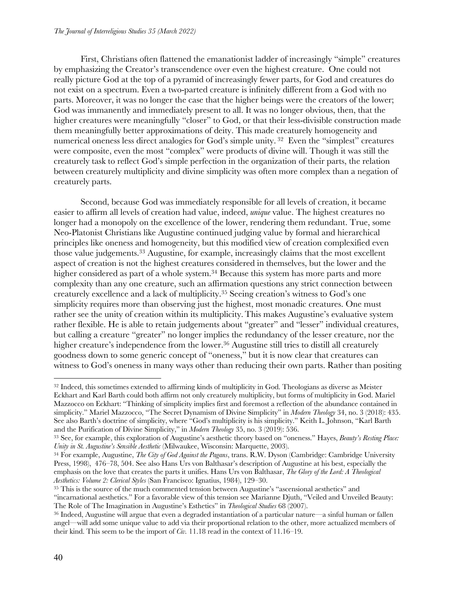First, Christians often flattened the emanationist ladder of increasingly "simple" creatures by emphasizing the Creator's transcendence over even the highest creature. One could not really picture God at the top of a pyramid of increasingly fewer parts, for God and creatures do not exist on a spectrum. Even a two-parted creature is infinitely different from a God with no parts. Moreover, it was no longer the case that the higher beings were the creators of the lower; God was immanently and immediately present to all. It was no longer obvious, then, that the higher creatures were meaningfully "closer" to God, or that their less-divisible construction made them meaningfully better approximations of deity. This made creaturely homogeneity and numerical oneness less direct analogies for God's simple unity. 32 Even the "simplest" creatures were composite, even the most "complex" were products of divine will. Though it was still the creaturely task to reflect God's simple perfection in the organization of their parts, the relation between creaturely multiplicity and divine simplicity was often more complex than a negation of creaturely parts.

Second, because God was immediately responsible for all levels of creation, it became easier to affirm all levels of creation had value, indeed, *unique* value. The highest creatures no longer had a monopoly on the excellence of the lower, rendering them redundant. True, some Neo-Platonist Christians like Augustine continued judging value by formal and hierarchical principles like oneness and homogeneity, but this modified view of creation complexified even those value judgements.33 Augustine, for example, increasingly claims that the most excellent aspect of creation is not the highest creatures considered in themselves, but the lower and the higher considered as part of a whole system.<sup>34</sup> Because this system has more parts and more complexity than any one creature, such an affirmation questions any strict connection between creaturely excellence and a lack of multiplicity.35 Seeing creation's witness to God's one simplicity requires more than observing just the highest, most monadic creatures. One must rather see the unity of creation within its multiplicity.This makes Augustine's evaluative system rather flexible. He is able to retain judgements about "greater" and "lesser" individual creatures, but calling a creature "greater" no longer implies the redundancy of the lesser creature, nor the higher creature's independence from the lower.<sup>36</sup> Augustine still tries to distill all creaturely goodness down to some generic concept of "oneness," but it is now clear that creatures can witness to God's oneness in many ways other than reducing their own parts. Rather than positing

<sup>&</sup>lt;sup>32</sup> Indeed, this sometimes extended to affirming kinds of multiplicity in God. Theologians as diverse as Meister Eckhart and Karl Barth could both affirm not only creaturely multiplicity, but forms of multiplicity in God. Mariel Mazzocco on Eckhart: "Thinking of simplicity implies first and foremost a reflection of the abundance contained in simplicity." Mariel Mazzocco, "The Secret Dynamism of Divine Simplicity" in *Modern Theology* 34, no. 3 (2018): 435. See also Barth's doctrine of simplicity, where "God's multiplicity is his simplicity." Keith L. Johnson, "Karl Barth and the Purification of Divine Simplicity," in *Modern Theology* 35, no. 3 (2019): 536.

<sup>&</sup>lt;sup>33</sup> See, for example, this exploration of Augustine's aesthetic theory based on "oneness." Hayes, *Beauty's Resting Place: Unity in St. Augustine's Sensible Aesthetic* (Milwaukee, Wisconsin: Marquette, 2003).

<sup>34</sup> For example, Augustine, *The City of God Against the Pagans*, trans. R.W. Dyson (Cambridge: Cambridge University Press, 1998), 476–78, 504. See also Hans Urs von Balthasar's description of Augustine at his best, especially the emphasis on the love that creates the parts it unifies. Hans Urs von Balthasar, *The Glory of the Lord: A Theological Aesthetics: Volume 2: Clerical Styles* (San Francisco: Ignatius, 1984), 129–30.

<sup>&</sup>lt;sup>35</sup> This is the source of the much commented tension between Augustine's "ascensional aesthetics" and "incarnational aesthetics." For a favorable view of this tension see Marianne Djuth, "Veiled and Unveiled Beauty: The Role of The Imagination in Augustine's Esthetics" in *Theological Studies* 68 (2007).

<sup>36</sup> Indeed, Augustine will argue that even a degraded instantiation of a particular nature—a sinful human or fallen angel—will add some unique value to add via their proportional relation to the other, more actualized members of their kind. This seem to be the import of *Civ.* 11.18 read in the context of 11.16–19.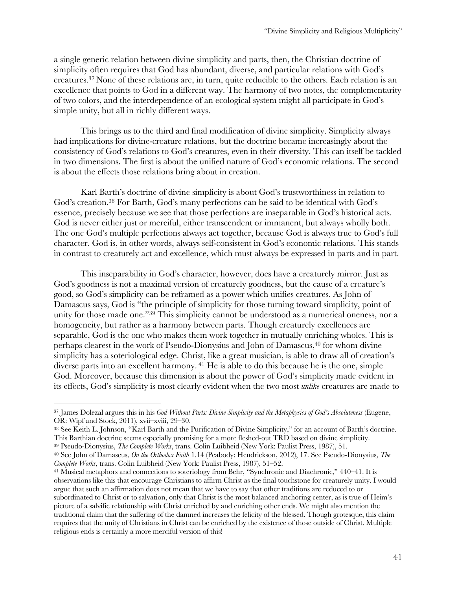a single generic relation between divine simplicity and parts, then, the Christian doctrine of simplicity often requires that God has abundant, diverse, and particular relations with God's creatures.37 None of these relations are, in turn, quite reducible to the others. Each relation is an excellence that points to God in a different way. The harmony of two notes, the complementarity of two colors, and the interdependence of an ecological system might all participate in God's simple unity, but all in richly different ways.

This brings us to the third and final modification of divine simplicity. Simplicity always had implications for divine-creature relations, but the doctrine became increasingly about the consistency of God's relations to God's creatures, even in their diversity. This can itself be tackled in two dimensions. The first is about the unified nature of God's economic relations. The second is about the effects those relations bring about in creation.

Karl Barth's doctrine of divine simplicity is about God's trustworthiness in relation to God's creation.38 For Barth, God's many perfections can be said to be identical with God's essence, precisely because we see that those perfections are inseparable in God's historical acts. God is never either just or merciful, either transcendent or immanent, but always wholly both. The one God's multiple perfections always act together, because God is always true to God's full character. God is, in other words, always self-consistent in God's economic relations. This stands in contrast to creaturely act and excellence, which must always be expressed in parts and in part.

This inseparability in God's character, however, does have a creaturely mirror. Just as God's goodness is not a maximal version of creaturely goodness, but the cause of a creature's good, so God's simplicity can be reframed as a power which unifies creatures. As John of Damascus says, God is "the principle of simplicity for those turning toward simplicity, point of unity for those made one."<sup>39</sup> This simplicity cannot be understood as a numerical oneness, nor a homogeneity, but rather as a harmony between parts. Though creaturely excellences are separable, God is the one who makes them work together in mutually enriching wholes. This is perhaps clearest in the work of Pseudo-Dionysius and John of Damascus,<sup>40</sup> for whom divine simplicity has a soteriological edge. Christ, like a great musician, is able to draw all of creation's diverse parts into an excellent harmony.<sup>41</sup> He is able to do this because he is the one, simple God. Moreover, because this dimension is about the power of God's simplicity made evident in its effects, God's simplicity is most clearly evident when the two most *unlike* creatures are made to

This Barthian doctrine seems especially promising for a more fleshed-out TRD based on divine simplicity. <sup>39</sup> Pseudo-Dionysius, *The Complete Works*, trans. Colin Luibheid (New York: Paulist Press, 1987), 51.

<sup>37</sup> James Dolezal argues this in his *God Without Parts: Divine Simplicity and the Metaphysics of God's Absoluteness* (Eugene, OR: Wipf and Stock, 2011), xvii–xviii, 29–30. 38 See Keith L. Johnson, "Karl Barth and the Purification of Divine Simplicity," for an account of Barth's doctrine.

<sup>40</sup> See John of Damascus, *On the Orthodox Faith* 1.14 (Peabody: Hendrickson, 2012), 17. See Pseudo-Dionysius, *The Complete Works*, trans. Colin Luibheid (New York: Paulist Press, 1987), 51–52.

<sup>41</sup> Musical metaphors and connections to soteriology from Behr, "Synchronic and Diachronic," 440–41. It is observations like this that encourage Christians to affirm Christ as the final touchstone for creaturely unity. I would argue that such an affirmation does not mean that we have to say that other traditions are reduced to or subordinated to Christ or to salvation, only that Christ is the most balanced anchoring center, as is true of Heim's picture of a salvific relationship with Christ enriched by and enriching other ends. We might also mention the traditional claim that the suffering of the damned increases the felicity of the blessed. Though grotesque, this claim requires that the unity of Christians in Christ can be enriched by the existence of those outside of Christ. Multiple religious ends is certainly a more merciful version of this!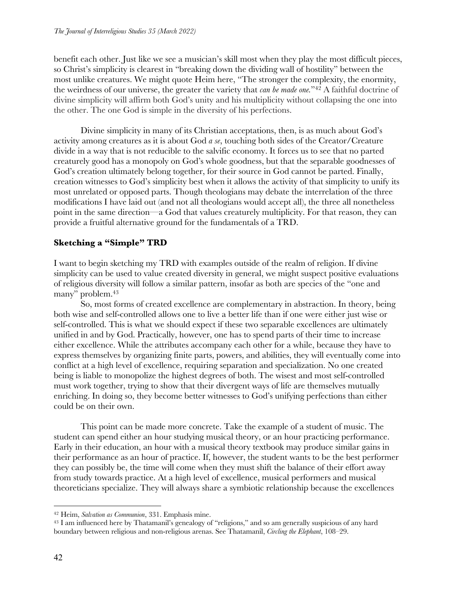benefit each other. Just like we see a musician's skill most when they play the most difficult pieces, so Christ's simplicity is clearest in "breaking down the dividing wall of hostility" between the most unlike creatures. We might quote Heim here, "The stronger the complexity, the enormity, the weirdness of our universe, the greater the variety that *can be made one.*"42 A faithful doctrine of divine simplicity will affirm both God's unity and his multiplicity without collapsing the one into the other. The one God is simple in the diversity of his perfections.

Divine simplicity in many of its Christian acceptations, then, is as much about God's activity among creatures as it is about God *a se*, touching both sides of the Creator/Creature divide in a way that is not reducible to the salvific economy. It forces us to see that no parted creaturely good has a monopoly on God's whole goodness, but that the separable goodnesses of God's creation ultimately belong together, for their source in God cannot be parted. Finally, creation witnesses to God's simplicity best when it allows the activity of that simplicity to unify its most unrelated or opposed parts. Though theologians may debate the interrelation of the three modifications I have laid out (and not all theologians would accept all), the three all nonetheless point in the same direction—a God that values creaturely multiplicity. For that reason, they can provide a fruitful alternative ground for the fundamentals of a TRD.

# **Sketching a "Simple" TRD**

I want to begin sketching my TRD with examples outside of the realm of religion. If divine simplicity can be used to value created diversity in general, we might suspect positive evaluations of religious diversity will follow a similar pattern, insofar as both are species of the "one and many" problem.43

So, most forms of created excellence are complementary in abstraction. In theory, being both wise and self-controlled allows one to live a better life than if one were either just wise or self-controlled. This is what we should expect if these two separable excellences are ultimately unified in and by God. Practically, however, one has to spend parts of their time to increase either excellence. While the attributes accompany each other for a while, because they have to express themselves by organizing finite parts, powers, and abilities, they will eventually come into conflict at a high level of excellence, requiring separation and specialization. No one created being is liable to monopolize the highest degrees of both. The wisest and most self-controlled must work together, trying to show that their divergent ways of life are themselves mutually enriching. In doing so, they become better witnesses to God's unifying perfections than either could be on their own.

This point can be made more concrete. Take the example of a student of music. The student can spend either an hour studying musical theory, or an hour practicing performance. Early in their education, an hour with a musical theory textbook may produce similar gains in their performance as an hour of practice. If, however, the student wants to be the best performer they can possibly be, the time will come when they must shift the balance of their effort away from study towards practice. At a high level of excellence, musical performers and musical theoreticians specialize. They will always share a symbiotic relationship because the excellences

<sup>42</sup> Heim, *Salvation as Communion*, 331. Emphasis mine.

<sup>43</sup> I am influenced here by Thatamanil's genealogy of "religions," and so am generally suspicious of any hard boundary between religious and non-religious arenas. See Thatamanil, *Circling the Elephant*, 108–29.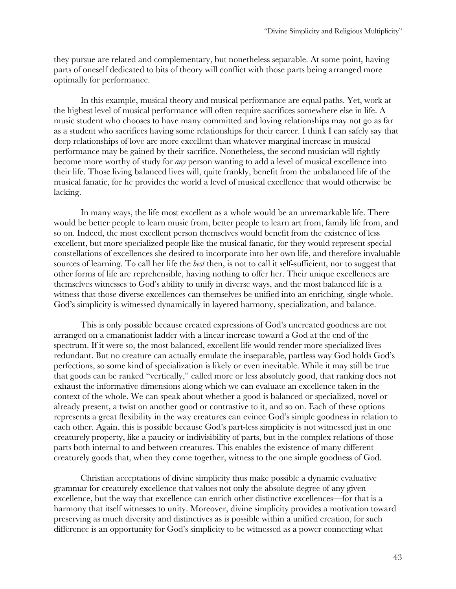they pursue are related and complementary, but nonetheless separable. At some point, having parts of oneself dedicated to bits of theory will conflict with those parts being arranged more optimally for performance.

In this example, musical theory and musical performance are equal paths. Yet, work at the highest level of musical performance will often require sacrifices somewhere else in life. A music student who chooses to have many committed and loving relationships may not go as far as a student who sacrifices having some relationships for their career. I think I can safely say that deep relationships of love are more excellent than whatever marginal increase in musical performance may be gained by their sacrifice. Nonetheless, the second musician will rightly become more worthy of study for *any* person wanting to add a level of musical excellence into their life. Those living balanced lives will, quite frankly, benefit from the unbalanced life of the musical fanatic, for he provides the world a level of musical excellence that would otherwise be lacking.

In many ways, the life most excellent as a whole would be an unremarkable life. There would be better people to learn music from, better people to learn art from, family life from, and so on. Indeed, the most excellent person themselves would benefit from the existence of less excellent, but more specialized people like the musical fanatic, for they would represent special constellations of excellences she desired to incorporate into her own life, and therefore invaluable sources of learning. To call her life the *best* then, is not to call it self-sufficient, nor to suggest that other forms of life are reprehensible, having nothing to offer her. Their unique excellences are themselves witnesses to God's ability to unify in diverse ways, and the most balanced life is a witness that those diverse excellences can themselves be unified into an enriching, single whole. God's simplicity is witnessed dynamically in layered harmony, specialization, and balance.

This is only possible because created expressions of God's uncreated goodness are not arranged on a emanationist ladder with a linear increase toward a God at the end of the spectrum. If it were so, the most balanced, excellent life would render more specialized lives redundant. But no creature can actually emulate the inseparable, partless way God holds God's perfections, so some kind of specialization is likely or even inevitable. While it may still be true that goods can be ranked "vertically," called more or less absolutely good, that ranking does not exhaust the informative dimensions along which we can evaluate an excellence taken in the context of the whole. We can speak about whether a good is balanced or specialized, novel or already present, a twist on another good or contrastive to it, and so on. Each of these options represents a great flexibility in the way creatures can evince God's simple goodness in relation to each other. Again, this is possible because God's part-less simplicity is not witnessed just in one creaturely property, like a paucity or indivisibility of parts, but in the complex relations of those parts both internal to and between creatures. This enables the existence of many different creaturely goods that, when they come together, witness to the one simple goodness of God.

Christian acceptations of divine simplicity thus make possible a dynamic evaluative grammar for creaturely excellence that values not only the absolute degree of any given excellence, but the way that excellence can enrich other distinctive excellences—for that is a harmony that itself witnesses to unity. Moreover, divine simplicity provides a motivation toward preserving as much diversity and distinctives as is possible within a unified creation, for such difference is an opportunity for God's simplicity to be witnessed as a power connecting what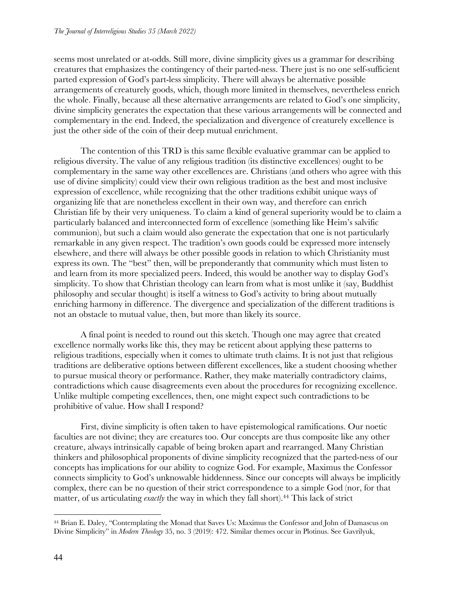seems most unrelated or at-odds. Still more, divine simplicity gives us a grammar for describing creatures that emphasizes the contingency of their parted-ness. There just is no one self-sufficient parted expression of God's part-less simplicity. There will always be alternative possible arrangements of creaturely goods, which, though more limited in themselves, nevertheless enrich the whole. Finally, because all these alternative arrangements are related to God's one simplicity, divine simplicity generates the expectation that these various arrangements will be connected and complementary in the end. Indeed, the specialization and divergence of creaturely excellence is just the other side of the coin of their deep mutual enrichment.

The contention of this TRD is this same flexible evaluative grammar can be applied to religious diversity.The value of any religious tradition (its distinctive excellences) ought to be complementary in the same way other excellences are. Christians (and others who agree with this use of divine simplicity) could view their own religious tradition as the best and most inclusive expression of excellence, while recognizing that the other traditions exhibit unique ways of organizing life that are nonetheless excellent in their own way, and therefore can enrich Christian life by their very uniqueness. To claim a kind of general superiority would be to claim a particularly balanced and interconnected form of excellence (something like Heim's salvific communion), but such a claim would also generate the expectation that one is not particularly remarkable in any given respect. The tradition's own goods could be expressed more intensely elsewhere, and there will always be other possible goods in relation to which Christianity must express its own. The "best" then, will be preponderantly that community which must listen to and learn from its more specialized peers. Indeed, this would be another way to display God's simplicity. To show that Christian theology can learn from what is most unlike it (say, Buddhist philosophy and secular thought) is itself a witness to God's activity to bring about mutually enriching harmony in difference. The divergence and specialization of the different traditions is not an obstacle to mutual value, then, but more than likely its source.

A final point is needed to round out this sketch. Though one may agree that created excellence normally works like this, they may be reticent about applying these patterns to religious traditions, especially when it comes to ultimate truth claims. It is not just that religious traditions are deliberative options between different excellences, like a student choosing whether to pursue musical theory or performance. Rather, they make materially contradictory claims, contradictions which cause disagreements even about the procedures for recognizing excellence. Unlike multiple competing excellences, then, one might expect such contradictions to be prohibitive of value. How shall I respond?

First, divine simplicity is often taken to have epistemological ramifications. Our noetic faculties are not divine; they are creatures too. Our concepts are thus composite like any other creature, always intrinsically capable of being broken apart and rearranged. Many Christian thinkers and philosophical proponents of divine simplicity recognized that the parted-ness of our concepts has implications for our ability to cognize God. For example, Maximus the Confessor connects simplicity to God's unknowable hiddenness. Since our concepts will always be implicitly complex, there can be no question of their strict correspondence to a simple God (nor, for that matter, of us articulating *exactly* the way in which they fall short).<sup>44</sup> This lack of strict

<sup>44</sup> Brian E. Daley, "Contemplating the Monad that Saves Us: Maximus the Confessor and John of Damascus on Divine Simplicity" in *Modern Theology* 35, no. 3 (2019): 472. Similar themes occur in Plotinus. See Gavrilyuk,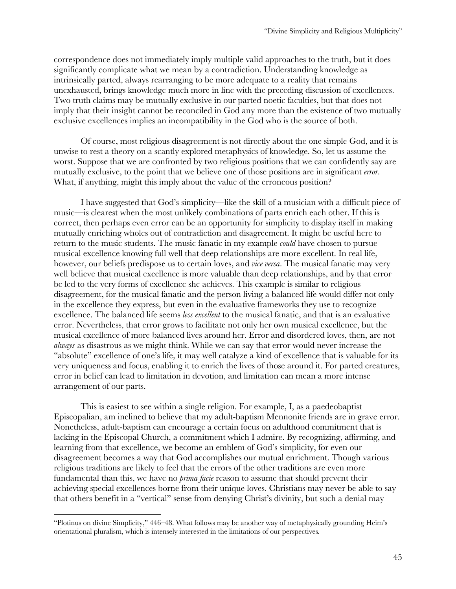correspondence does not immediately imply multiple valid approaches to the truth, but it does significantly complicate what we mean by a contradiction. Understanding knowledge as intrinsically parted, always rearranging to be more adequate to a reality that remains unexhausted, brings knowledge much more in line with the preceding discussion of excellences. Two truth claims may be mutually exclusive in our parted noetic faculties, but that does not imply that their insight cannot be reconciled in God any more than the existence of two mutually exclusive excellences implies an incompatibility in the God who is the source of both.

Of course, most religious disagreement is not directly about the one simple God, and it is unwise to rest a theory on a scantly explored metaphysics of knowledge. So, let us assume the worst. Suppose that we are confronted by two religious positions that we can confidently say are mutually exclusive, to the point that we believe one of those positions are in significant *error*. What, if anything, might this imply about the value of the erroneous position?

I have suggested that God's simplicity—like the skill of a musician with a difficult piece of music—is clearest when the most unlikely combinations of parts enrich each other. If this is correct, then perhaps even error can be an opportunity for simplicity to display itself in making mutually enriching wholes out of contradiction and disagreement. It might be useful here to return to the music students. The music fanatic in my example *could* have chosen to pursue musical excellence knowing full well that deep relationships are more excellent. In real life, however, our beliefs predispose us to certain loves, and *vice versa*. The musical fanatic may very well believe that musical excellence is more valuable than deep relationships, and by that error be led to the very forms of excellence she achieves. This example is similar to religious disagreement, for the musical fanatic and the person living a balanced life would differ not only in the excellence they express, but even in the evaluative frameworks they use to recognize excellence. The balanced life seems *less excellent* to the musical fanatic, and that is an evaluative error. Nevertheless, that error grows to facilitate not only her own musical excellence, but the musical excellence of more balanced lives around her. Error and disordered loves, then, are not *always* as disastrous as we might think. While we can say that error would never increase the "absolute" excellence of one's life, it may well catalyze a kind of excellence that is valuable for its very uniqueness and focus, enabling it to enrich the lives of those around it. For parted creatures, error in belief can lead to limitation in devotion, and limitation can mean a more intense arrangement of our parts.

This is easiest to see within a single religion. For example, I, as a paedeobaptist Episcopalian, am inclined to believe that my adult-baptism Mennonite friends are in grave error. Nonetheless, adult-baptism can encourage a certain focus on adulthood commitment that is lacking in the Episcopal Church, a commitment which I admire. By recognizing, affirming, and learning from that excellence, we become an emblem of God's simplicity, for even our disagreement becomes a way that God accomplishes our mutual enrichment. Though various religious traditions are likely to feel that the errors of the other traditions are even more fundamental than this, we have no *prima facie* reason to assume that should prevent their achieving special excellences borne from their unique loves. Christians may never be able to say that others benefit in a "vertical" sense from denying Christ's divinity, but such a denial may

<sup>&</sup>quot;Plotinus on divine Simplicity," 446–48. What follows may be another way of metaphysically grounding Heim's orientational pluralism, which is intensely interested in the limitations of our perspectives*.*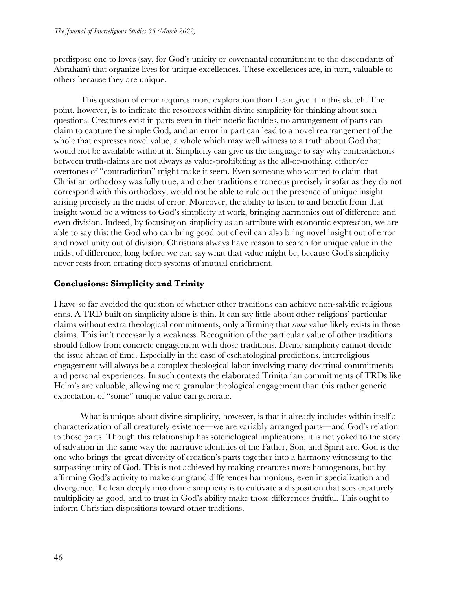predispose one to loves (say, for God's unicity or covenantal commitment to the descendants of Abraham) that organize lives for unique excellences. These excellences are, in turn, valuable to others because they are unique.

This question of error requires more exploration than I can give it in this sketch. The point, however, is to indicate the resources within divine simplicity for thinking about such questions. Creatures exist in parts even in their noetic faculties, no arrangement of parts can claim to capture the simple God, and an error in part can lead to a novel rearrangement of the whole that expresses novel value, a whole which may well witness to a truth about God that would not be available without it. Simplicity can give us the language to say why contradictions between truth-claims are not always as value-prohibiting as the all-or-nothing, either/or overtones of "contradiction" might make it seem. Even someone who wanted to claim that Christian orthodoxy was fully true, and other traditions erroneous precisely insofar as they do not correspond with this orthodoxy, would not be able to rule out the presence of unique insight arising precisely in the midst of error. Moreover, the ability to listen to and benefit from that insight would be a witness to God's simplicity at work, bringing harmonies out of difference and even division. Indeed, by focusing on simplicity as an attribute with economic expression, we are able to say this: the God who can bring good out of evil can also bring novel insight out of error and novel unity out of division. Christians always have reason to search for unique value in the midst of difference, long before we can say what that value might be, because God's simplicity never rests from creating deep systems of mutual enrichment.

## **Conclusions: Simplicity and Trinity**

I have so far avoided the question of whether other traditions can achieve non-salvific religious ends. A TRD built on simplicity alone is thin. It can say little about other religions' particular claims without extra theological commitments, only affirming that *some* value likely exists in those claims. This isn't necessarily a weakness. Recognition of the particular value of other traditions should follow from concrete engagement with those traditions. Divine simplicity cannot decide the issue ahead of time. Especially in the case of eschatological predictions, interreligious engagement will always be a complex theological labor involving many doctrinal commitments and personal experiences. In such contexts the elaborated Trinitarian commitments of TRDs like Heim's are valuable, allowing more granular theological engagement than this rather generic expectation of "some" unique value can generate.

What is unique about divine simplicity, however, is that it already includes within itself a characterization of all creaturely existence—we are variably arranged parts—and God's relation to those parts. Though this relationship has soteriological implications, it is not yoked to the story of salvation in the same way the narrative identities of the Father, Son, and Spirit are. God is the one who brings the great diversity of creation's parts together into a harmony witnessing to the surpassing unity of God. This is not achieved by making creatures more homogenous, but by affirming God's activity to make our grand differences harmonious, even in specialization and divergence. To lean deeply into divine simplicity is to cultivate a disposition that sees creaturely multiplicity as good, and to trust in God's ability make those differences fruitful. This ought to inform Christian dispositions toward other traditions.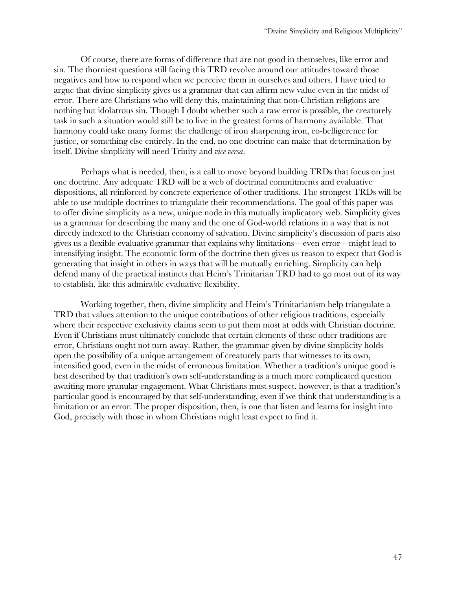Of course, there are forms of difference that are not good in themselves, like error and sin. The thorniest questions still facing this TRD revolve around our attitudes toward those negatives and how to respond when we perceive them in ourselves and others. I have tried to argue that divine simplicity gives us a grammar that can affirm new value even in the midst of error. There are Christians who will deny this, maintaining that non-Christian religions are nothing but idolatrous sin. Though I doubt whether such a raw error is possible, the creaturely task in such a situation would still be to live in the greatest forms of harmony available. That harmony could take many forms: the challenge of iron sharpening iron, co-belligerence for justice, or something else entirely. In the end, no one doctrine can make that determination by itself. Divine simplicity will need Trinity and *vice versa*.

Perhaps what is needed, then, is a call to move beyond building TRDs that focus on just one doctrine. Any adequate TRD will be a web of doctrinal commitments and evaluative dispositions, all reinforced by concrete experience of other traditions. The strongest TRDs will be able to use multiple doctrines to triangulate their recommendations. The goal of this paper was to offer divine simplicity as a new, unique node in this mutually implicatory web. Simplicity gives us a grammar for describing the many and the one of God-world relations in a way that is not directly indexed to the Christian economy of salvation. Divine simplicity's discussion of parts also gives us a flexible evaluative grammar that explains why limitations—even error—might lead to intensifying insight. The economic form of the doctrine then gives us reason to expect that God is generating that insight in others in ways that will be mutually enriching. Simplicity can help defend many of the practical instincts that Heim's Trinitarian TRD had to go most out of its way to establish, like this admirable evaluative flexibility.

Working together, then, divine simplicity and Heim's Trinitarianism help triangulate a TRD that values attention to the unique contributions of other religious traditions, especially where their respective exclusivity claims seem to put them most at odds with Christian doctrine. Even if Christians must ultimately conclude that certain elements of these other traditions are error, Christians ought not turn away. Rather, the grammar given by divine simplicity holds open the possibility of a unique arrangement of creaturely parts that witnesses to its own, intensified good, even in the midst of erroneous limitation. Whether a tradition's unique good is best described by that tradition's own self-understanding is a much more complicated question awaiting more granular engagement. What Christians must suspect, however, is that a tradition's particular good is encouraged by that self-understanding, even if we think that understanding is a limitation or an error. The proper disposition, then, is one that listen and learns for insight into God, precisely with those in whom Christians might least expect to find it.